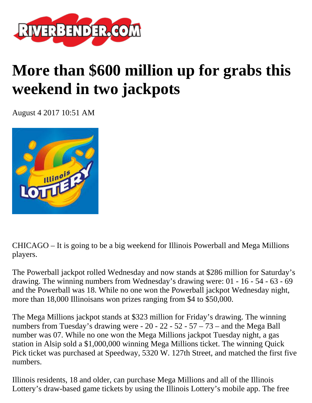

## **More than \$600 million up for grabs this weekend in two jackpots**

August 4 2017 10:51 AM



CHICAGO – It is going to be a big weekend for Illinois Powerball and Mega Millions players.

The Powerball jackpot rolled Wednesday and now stands at \$286 million for Saturday's drawing. The winning numbers from Wednesday's drawing were: 01 - 16 - 54 - 63 - 69 and the Powerball was 18. While no one won the Powerball jackpot Wednesday night, more than 18,000 Illinoisans won prizes ranging from \$4 to \$50,000.

The Mega Millions jackpot stands at \$323 million for Friday's drawing. The winning numbers from Tuesday's drawing were - 20 - 22 - 52 - 57 – 73 – and the Mega Ball number was 07. While no one won the Mega Millions jackpot Tuesday night, a gas station in Alsip sold a \$1,000,000 winning Mega Millions ticket. The winning Quick Pick ticket was purchased at Speedway, 5320 W. 127th Street, and matched the first five numbers.

Illinois residents, 18 and older, can purchase Mega Millions and all of the Illinois Lottery's draw-based game tickets by using the Illinois Lottery's mobile app. The free